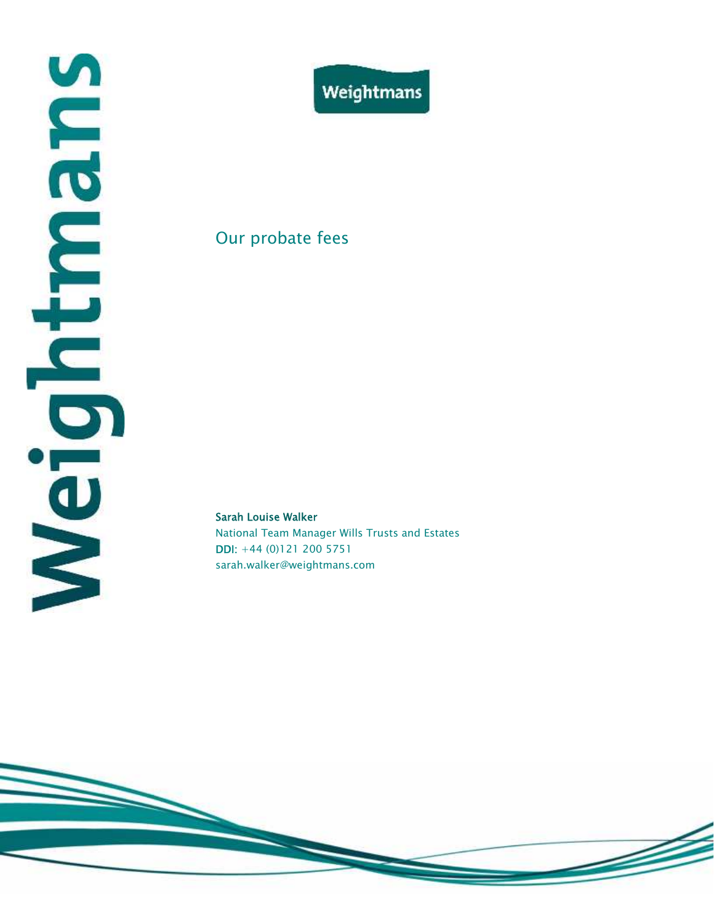

#### Our probate fees

#### **Sarah Louise Walker**

National Team Manager Wills Trusts and Estates **DDI:** +44 (0)121 200 5751 sarah.walker@weightmans.com

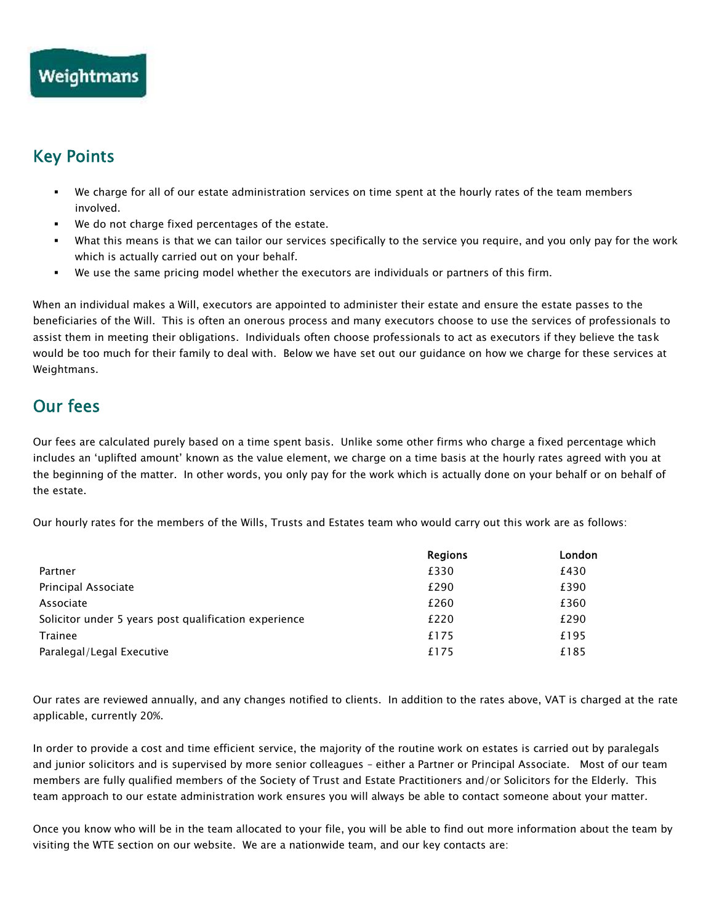## **Key Points**

- We charge for all of our estate administration services on time spent at the hourly rates of the team members involved.
- We do not charge fixed percentages of the estate.
- What this means is that we can tailor our services specifically to the service you require, and you only pay for the work which is actually carried out on your behalf.
- We use the same pricing model whether the executors are individuals or partners of this firm.

When an individual makes a Will, executors are appointed to administer their estate and ensure the estate passes to the beneficiaries of the Will. This is often an onerous process and many executors choose to use the services of professionals to assist them in meeting their obligations. Individuals often choose professionals to act as executors if they believe the task would be too much for their family to deal with. Below we have set out our guidance on how we charge for these services at Weightmans.

## **Our fees**

Our fees are calculated purely based on a time spent basis. Unlike some other firms who charge a fixed percentage which includes an 'uplifted amount' known as the value element, we charge on a time basis at the hourly rates agreed with you at the beginning of the matter. In other words, you only pay for the work which is actually done on your behalf or on behalf of the estate.

Our hourly rates for the members of the Wills, Trusts and Estates team who would carry out this work are as follows:

|                                                       | <b>Regions</b> | London |
|-------------------------------------------------------|----------------|--------|
| Partner                                               | £330           | £430   |
| Principal Associate                                   | £290           | £390   |
| Associate                                             | £260           | £360   |
| Solicitor under 5 years post qualification experience | £220           | £290   |
| <b>Trainee</b>                                        | £175           | £195   |
| Paralegal/Legal Executive                             | £175           | £185   |

Our rates are reviewed annually, and any changes notified to clients. In addition to the rates above, VAT is charged at the rate applicable, currently 20%.

In order to provide a cost and time efficient service, the majority of the routine work on estates is carried out by paralegals and junior solicitors and is supervised by more senior colleagues – either a Partner or Principal Associate. Most of our team members are fully qualified members of the Society of Trust and Estate Practitioners and/or Solicitors for the Elderly. This team approach to our estate administration work ensures you will always be able to contact someone about your matter.

Once you know who will be in the team allocated to your file, you will be able to find out more information about the team by visiting the WTE section on our website. We are a nationwide team, and our key contacts are: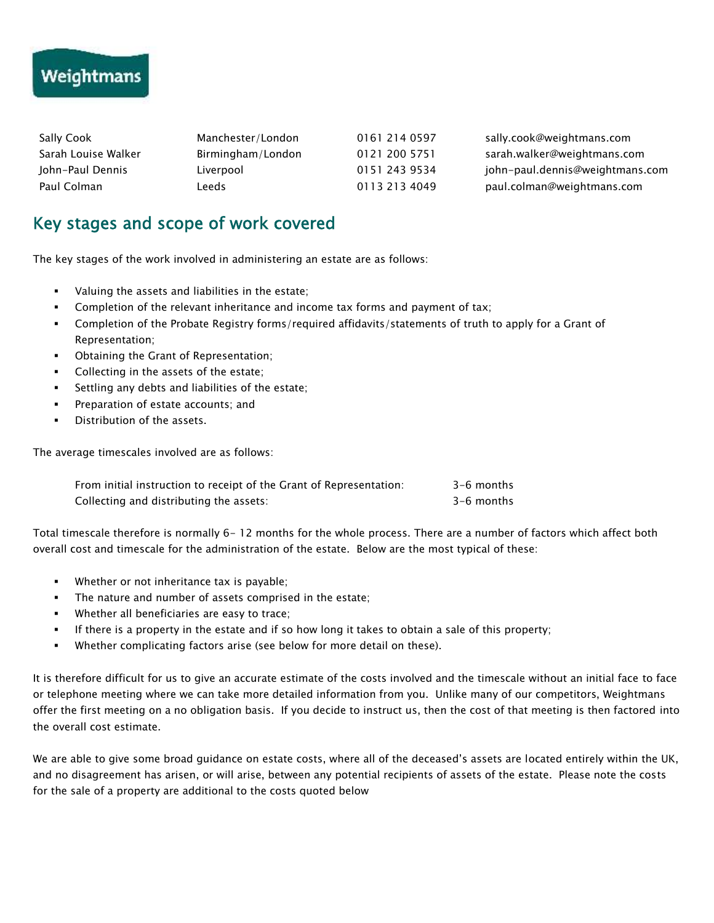# **Weightmans**

| Sally Cook          | Manchester/London | 0161 214 0597 | sally.cook@weightmans.com       |
|---------------------|-------------------|---------------|---------------------------------|
| Sarah Louise Walker | Birmingham/London | 0121 200 5751 | sarah.walker@weightmans.com     |
| John-Paul Dennis    | Liverpool         | 0151 243 9534 | john-paul.dennis@weightmans.com |
| Paul Colman         | Leeds             | 0113 213 4049 | paul.colman@weightmans.com      |

## **Key stages and scope of work covered**

The key stages of the work involved in administering an estate are as follows:

- Valuing the assets and liabilities in the estate;
- Completion of the relevant inheritance and income tax forms and payment of tax;
- Completion of the Probate Registry forms/required affidavits/statements of truth to apply for a Grant of Representation;
- Obtaining the Grant of Representation;
- Collecting in the assets of the estate;
- Settling any debts and liabilities of the estate;
- Preparation of estate accounts; and
- **Distribution of the assets.**

The average timescales involved are as follows:

| From initial instruction to receipt of the Grant of Representation: | 3-6 months |
|---------------------------------------------------------------------|------------|
| Collecting and distributing the assets:                             | 3-6 months |

Total timescale therefore is normally 6- 12 months for the whole process. There are a number of factors which affect both overall cost and timescale for the administration of the estate. Below are the most typical of these:

- Whether or not inheritance tax is payable;
- The nature and number of assets comprised in the estate;
- Whether all beneficiaries are easy to trace;
- If there is a property in the estate and if so how long it takes to obtain a sale of this property;
- Whether complicating factors arise (see below for more detail on these).

It is therefore difficult for us to give an accurate estimate of the costs involved and the timescale without an initial face to face or telephone meeting where we can take more detailed information from you. Unlike many of our competitors, Weightmans offer the first meeting on a no obligation basis. If you decide to instruct us, then the cost of that meeting is then factored into the overall cost estimate.

We are able to give some broad guidance on estate costs, where all of the deceased's assets are located entirely within the UK, and no disagreement has arisen, or will arise, between any potential recipients of assets of the estate. Please note the costs for the sale of a property are additional to the costs quoted below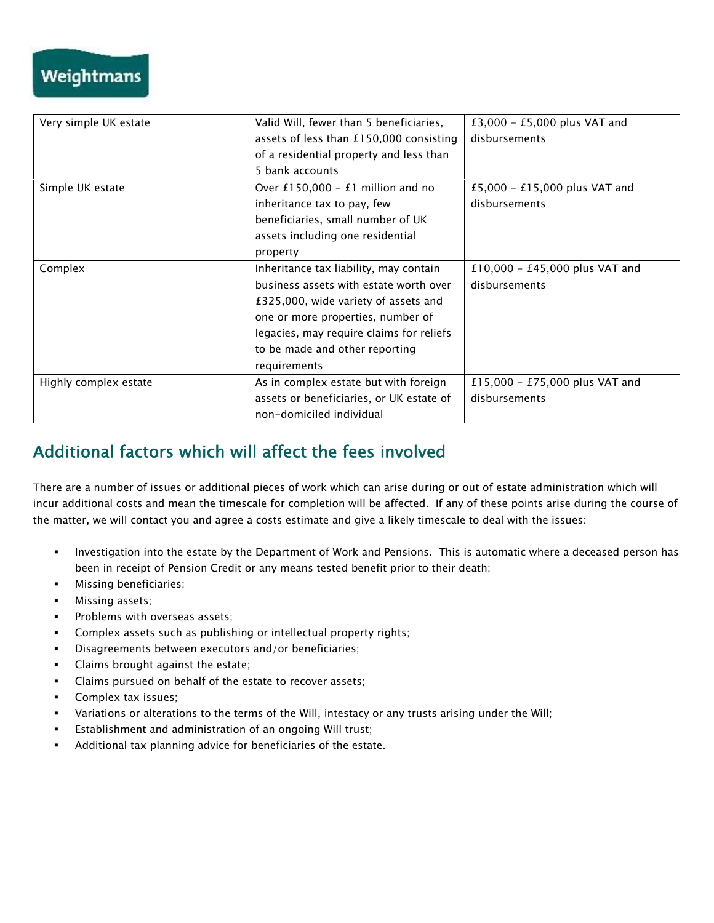| Very simple UK estate | Valid Will, fewer than 5 beneficiaries,  | £3,000 - £5,000 plus VAT and   |
|-----------------------|------------------------------------------|--------------------------------|
|                       | assets of less than £150,000 consisting  | disbursements                  |
|                       | of a residential property and less than  |                                |
|                       | 5 bank accounts                          |                                |
| Simple UK estate      | Over £150,000 - £1 million and no        | £5,000 - £15,000 plus VAT and  |
|                       | inheritance tax to pay, few              | disbursements                  |
|                       | beneficiaries, small number of UK        |                                |
|                       | assets including one residential         |                                |
|                       | property                                 |                                |
| Complex               | Inheritance tax liability, may contain   | £10,000 - £45,000 plus VAT and |
|                       | business assets with estate worth over   | disbursements                  |
|                       | £325,000, wide variety of assets and     |                                |
|                       | one or more properties, number of        |                                |
|                       | legacies, may require claims for reliefs |                                |
|                       | to be made and other reporting           |                                |
|                       | requirements                             |                                |
| Highly complex estate | As in complex estate but with foreign    | £15,000 - £75,000 plus VAT and |
|                       | assets or beneficiaries, or UK estate of | disbursements                  |
|                       | non-domiciled individual                 |                                |
|                       |                                          |                                |

# **Additional factors which will affect the fees involved**

There are a number of issues or additional pieces of work which can arise during or out of estate administration which will incur additional costs and mean the timescale for completion will be affected. If any of these points arise during the course of the matter, we will contact you and agree a costs estimate and give a likely timescale to deal with the issues:

- **Investigation into the estate by the Department of Work and Pensions. This is automatic where a deceased person has** been in receipt of Pension Credit or any means tested benefit prior to their death;
- **Missing beneficiaries;**
- Missing assets;
- **Problems with overseas assets;**
- Complex assets such as publishing or intellectual property rights;
- Disagreements between executors and/or beneficiaries;
- Claims brought against the estate;
- Claims pursued on behalf of the estate to recover assets;
- **Complex tax issues;**
- Variations or alterations to the terms of the Will, intestacy or any trusts arising under the Will;
- Establishment and administration of an ongoing Will trust;
- Additional tax planning advice for beneficiaries of the estate.